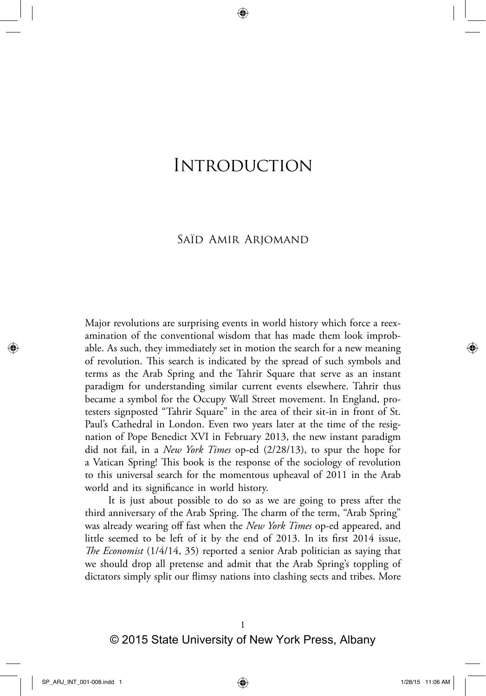# Introduction

## Saïd Amir Arjomand

Major revolutions are surprising events in world history which force a reexamination of the conventional wisdom that has made them look improbable. As such, they immediately set in motion the search for a new meaning of revolution. This search is indicated by the spread of such symbols and terms as the Arab Spring and the Tahrir Square that serve as an instant paradigm for understanding similar current events elsewhere. Tahrir thus became a symbol for the Occupy Wall Street movement. In England, protesters signposted "Tahrir Square" in the area of their sit‑in in front of St. Paul's Cathedral in London. Even two years later at the time of the resignation of Pope Benedict XVI in February 2013, the new instant paradigm did not fail, in a *New York Times* op‑ed (2/28/13), to spur the hope for a Vatican Spring! This book is the response of the sociology of revolution to this universal search for the momentous upheaval of 2011 in the Arab world and its significance in world history.

It is just about possible to do so as we are going to press after the third anniversary of the Arab Spring. The charm of the term, "Arab Spring" was already wearing off fast when the *New York Times* op‑ed appeared, and little seemed to be left of it by the end of 2013. In its first 2014 issue, *The Economist* (1/4/14, 35) reported a senior Arab politician as saying that we should drop all pretense and admit that the Arab Spring's toppling of dictators simply split our flimsy nations into clashing sects and tribes. More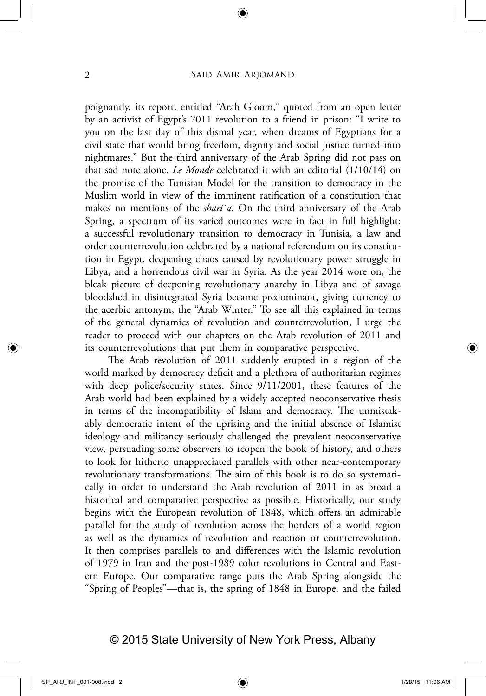poignantly, its report, entitled "Arab Gloom," quoted from an open letter by an activist of Egypt's 2011 revolution to a friend in prison: "I write to you on the last day of this dismal year, when dreams of Egyptians for a civil state that would bring freedom, dignity and social justice turned into nightmares." But the third anniversary of the Arab Spring did not pass on that sad note alone. *Le Monde* celebrated it with an editorial (1/10/14) on the promise of the Tunisian Model for the transition to democracy in the Muslim world in view of the imminent ratification of a constitution that makes no mentions of the *shari`a*. On the third anniversary of the Arab Spring, a spectrum of its varied outcomes were in fact in full highlight: a successful revolutionary transition to democracy in Tunisia, a law and order counterrevolution celebrated by a national referendum on its constitution in Egypt, deepening chaos caused by revolutionary power struggle in Libya, and a horrendous civil war in Syria. As the year 2014 wore on, the bleak picture of deepening revolutionary anarchy in Libya and of savage bloodshed in disintegrated Syria became predominant, giving currency to the acerbic antonym, the "Arab Winter." To see all this explained in terms of the general dynamics of revolution and counterrevolution, I urge the reader to proceed with our chapters on the Arab revolution of 2011 and its counterrevolutions that put them in comparative perspective.

The Arab revolution of 2011 suddenly erupted in a region of the world marked by democracy deficit and a plethora of authoritarian regimes with deep police/security states. Since 9/11/2001, these features of the Arab world had been explained by a widely accepted neoconservative thesis in terms of the incompatibility of Islam and democracy. The unmistakably democratic intent of the uprising and the initial absence of Islamist ideology and militancy seriously challenged the prevalent neoconservative view, persuading some observers to reopen the book of history, and others to look for hitherto unappreciated parallels with other near-contemporary revolutionary transformations. The aim of this book is to do so systematically in order to understand the Arab revolution of 2011 in as broad a historical and comparative perspective as possible. Historically, our study begins with the European revolution of 1848, which offers an admirable parallel for the study of revolution across the borders of a world region as well as the dynamics of revolution and reaction or counterrevolution. It then comprises parallels to and differences with the Islamic revolution of 1979 in Iran and the post-1989 color revolutions in Central and Eastern Europe. Our comparative range puts the Arab Spring alongside the "Spring of Peoples"—that is, the spring of 1848 in Europe, and the failed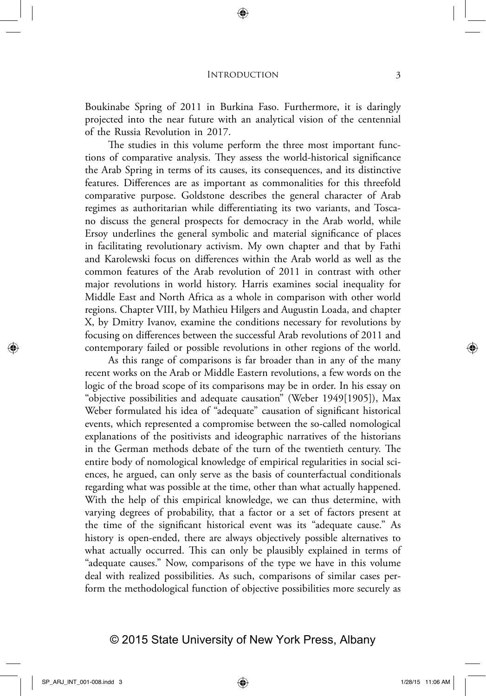Boukinabe Spring of 2011 in Burkina Faso. Furthermore, it is daringly projected into the near future with an analytical vision of the centennial of the Russia Revolution in 2017.

The studies in this volume perform the three most important functions of comparative analysis. They assess the world‑historical significance the Arab Spring in terms of its causes, its consequences, and its distinctive features. Differences are as important as commonalities for this threefold comparative purpose. Goldstone describes the general character of Arab regimes as authoritarian while differentiating its two variants, and Toscano discuss the general prospects for democracy in the Arab world, while Ersoy underlines the general symbolic and material significance of places in facilitating revolutionary activism. My own chapter and that by Fathi and Karolewski focus on differences within the Arab world as well as the common features of the Arab revolution of 2011 in contrast with other major revolutions in world history. Harris examines social inequality for Middle East and North Africa as a whole in comparison with other world regions. Chapter VIII, by Mathieu Hilgers and Augustin Loada, and chapter X, by Dmitry Ivanov, examine the conditions necessary for revolutions by focusing on differences between the successful Arab revolutions of 2011 and contemporary failed or possible revolutions in other regions of the world.

As this range of comparisons is far broader than in any of the many recent works on the Arab or Middle Eastern revolutions, a few words on the logic of the broad scope of its comparisons may be in order. In his essay on "objective possibilities and adequate causation" (Weber 1949[1905]), Max Weber formulated his idea of "adequate" causation of significant historical events, which represented a compromise between the so-called nomological explanations of the positivists and ideographic narratives of the historians in the German methods debate of the turn of the twentieth century. The entire body of nomological knowledge of empirical regularities in social sciences, he argued, can only serve as the basis of counterfactual conditionals regarding what was possible at the time, other than what actually happened. With the help of this empirical knowledge, we can thus determine, with varying degrees of probability, that a factor or a set of factors present at the time of the significant historical event was its "adequate cause." As history is open-ended, there are always objectively possible alternatives to what actually occurred. This can only be plausibly explained in terms of "adequate causes." Now, comparisons of the type we have in this volume deal with realized possibilities. As such, comparisons of similar cases perform the methodological function of objective possibilities more securely as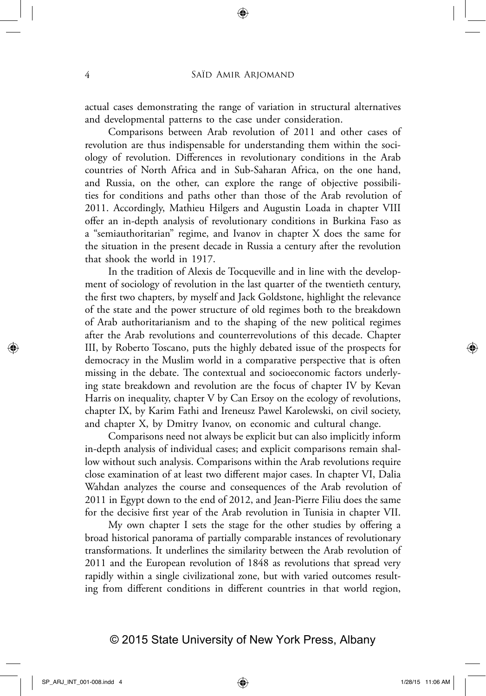actual cases demonstrating the range of variation in structural alternatives and developmental patterns to the case under consideration.

Comparisons between Arab revolution of 2011 and other cases of revolution are thus indispensable for understanding them within the sociology of revolution. Differences in revolutionary conditions in the Arab countries of North Africa and in Sub-Saharan Africa, on the one hand, and Russia, on the other, can explore the range of objective possibilities for conditions and paths other than those of the Arab revolution of 2011. Accordingly, Mathieu Hilgers and Augustin Loada in chapter VIII offer an in‑depth analysis of revolutionary conditions in Burkina Faso as a "semiauthoritarian" regime, and Ivanov in chapter X does the same for the situation in the present decade in Russia a century after the revolution that shook the world in 1917.

In the tradition of Alexis de Tocqueville and in line with the development of sociology of revolution in the last quarter of the twentieth century, the first two chapters, by myself and Jack Goldstone, highlight the relevance of the state and the power structure of old regimes both to the breakdown of Arab authoritarianism and to the shaping of the new political regimes after the Arab revolutions and counterrevolutions of this decade. Chapter III, by Roberto Toscano, puts the highly debated issue of the prospects for democracy in the Muslim world in a comparative perspective that is often missing in the debate. The contextual and socioeconomic factors underlying state breakdown and revolution are the focus of chapter IV by Kevan Harris on inequality, chapter V by Can Ersoy on the ecology of revolutions, chapter IX, by Karim Fathi and Ireneusz Pawel Karolewski, on civil society, and chapter X, by Dmitry Ivanov, on economic and cultural change.

Comparisons need not always be explicit but can also implicitly inform in-depth analysis of individual cases; and explicit comparisons remain shallow without such analysis. Comparisons within the Arab revolutions require close examination of at least two different major cases. In chapter VI, Dalia Wahdan analyzes the course and consequences of the Arab revolution of 2011 in Egypt down to the end of 2012, and Jean‑Pierre Filiu does the same for the decisive first year of the Arab revolution in Tunisia in chapter VII.

My own chapter I sets the stage for the other studies by offering a broad historical panorama of partially comparable instances of revolutionary transformations. It underlines the similarity between the Arab revolution of 2011 and the European revolution of 1848 as revolutions that spread very rapidly within a single civilizational zone, but with varied outcomes resulting from different conditions in different countries in that world region,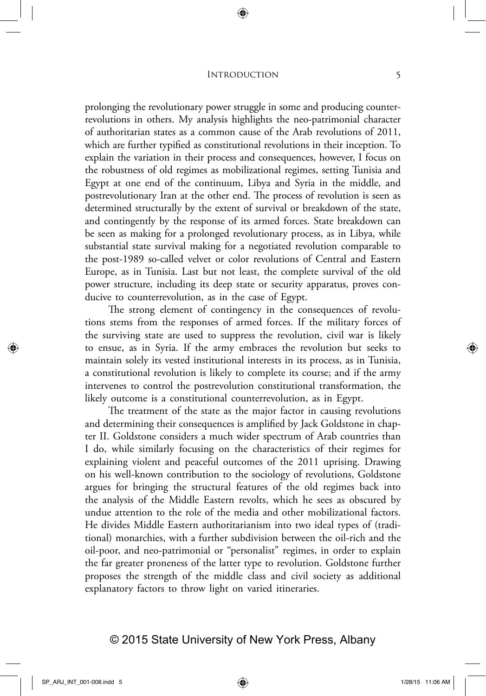#### INTRODUCTION 5

prolonging the revolutionary power struggle in some and producing counterrevolutions in others. My analysis highlights the neo‑patrimonial character of authoritarian states as a common cause of the Arab revolutions of 2011, which are further typified as constitutional revolutions in their inception. To explain the variation in their process and consequences, however, I focus on the robustness of old regimes as mobilizational regimes, setting Tunisia and Egypt at one end of the continuum, Libya and Syria in the middle, and postrevolutionary Iran at the other end. The process of revolution is seen as determined structurally by the extent of survival or breakdown of the state, and contingently by the response of its armed forces. State breakdown can be seen as making for a prolonged revolutionary process, as in Libya, while substantial state survival making for a negotiated revolution comparable to the post-1989 so-called velvet or color revolutions of Central and Eastern Europe, as in Tunisia. Last but not least, the complete survival of the old power structure, including its deep state or security apparatus, proves conducive to counterrevolution, as in the case of Egypt.

The strong element of contingency in the consequences of revolutions stems from the responses of armed forces. If the military forces of the surviving state are used to suppress the revolution, civil war is likely to ensue, as in Syria. If the army embraces the revolution but seeks to maintain solely its vested institutional interests in its process, as in Tunisia, a constitutional revolution is likely to complete its course; and if the army intervenes to control the postrevolution constitutional transformation, the likely outcome is a constitutional counterrevolution, as in Egypt.

The treatment of the state as the major factor in causing revolutions and determining their consequences is amplified by Jack Goldstone in chapter II. Goldstone considers a much wider spectrum of Arab countries than I do, while similarly focusing on the characteristics of their regimes for explaining violent and peaceful outcomes of the 2011 uprising. Drawing on his well-known contribution to the sociology of revolutions, Goldstone argues for bringing the structural features of the old regimes back into the analysis of the Middle Eastern revolts, which he sees as obscured by undue attention to the role of the media and other mobilizational factors. He divides Middle Eastern authoritarianism into two ideal types of (traditional) monarchies, with a further subdivision between the oil-rich and the oil‑poor, and neo‑patrimonial or "personalist" regimes, in order to explain the far greater proneness of the latter type to revolution. Goldstone further proposes the strength of the middle class and civil society as additional explanatory factors to throw light on varied itineraries.

## © 2015 State University of New York Press, Albany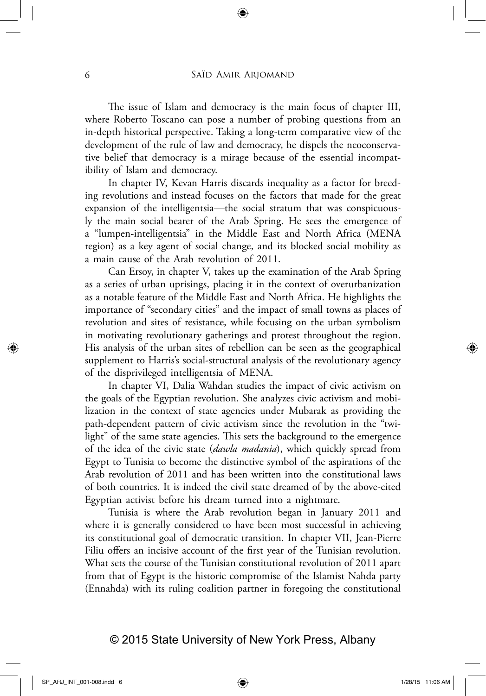The issue of Islam and democracy is the main focus of chapter III, where Roberto Toscano can pose a number of probing questions from an in-depth historical perspective. Taking a long-term comparative view of the development of the rule of law and democracy, he dispels the neoconservative belief that democracy is a mirage because of the essential incompatibility of Islam and democracy.

In chapter IV, Kevan Harris discards inequality as a factor for breeding revolutions and instead focuses on the factors that made for the great expansion of the intelligentsia—the social stratum that was conspicuously the main social bearer of the Arab Spring. He sees the emergence of a "lumpen‑intelligentsia" in the Middle East and North Africa (MENA region) as a key agent of social change, and its blocked social mobility as a main cause of the Arab revolution of 2011.

Can Ersoy, in chapter V, takes up the examination of the Arab Spring as a series of urban uprisings, placing it in the context of overurbanization as a notable feature of the Middle East and North Africa. He highlights the importance of "secondary cities" and the impact of small towns as places of revolution and sites of resistance, while focusing on the urban symbolism in motivating revolutionary gatherings and protest throughout the region. His analysis of the urban sites of rebellion can be seen as the geographical supplement to Harris's social-structural analysis of the revolutionary agency of the disprivileged intelligentsia of MENA.

In chapter VI, Dalia Wahdan studies the impact of civic activism on the goals of the Egyptian revolution. She analyzes civic activism and mobilization in the context of state agencies under Mubarak as providing the path-dependent pattern of civic activism since the revolution in the "twilight" of the same state agencies. This sets the background to the emergence of the idea of the civic state (*dawla madania*), which quickly spread from Egypt to Tunisia to become the distinctive symbol of the aspirations of the Arab revolution of 2011 and has been written into the constitutional laws of both countries. It is indeed the civil state dreamed of by the above-cited Egyptian activist before his dream turned into a nightmare.

Tunisia is where the Arab revolution began in January 2011 and where it is generally considered to have been most successful in achieving its constitutional goal of democratic transition. In chapter VII, Jean-Pierre Filiu offers an incisive account of the first year of the Tunisian revolution. What sets the course of the Tunisian constitutional revolution of 2011 apart from that of Egypt is the historic compromise of the Islamist Nahda party (Ennahda) with its ruling coalition partner in foregoing the constitutional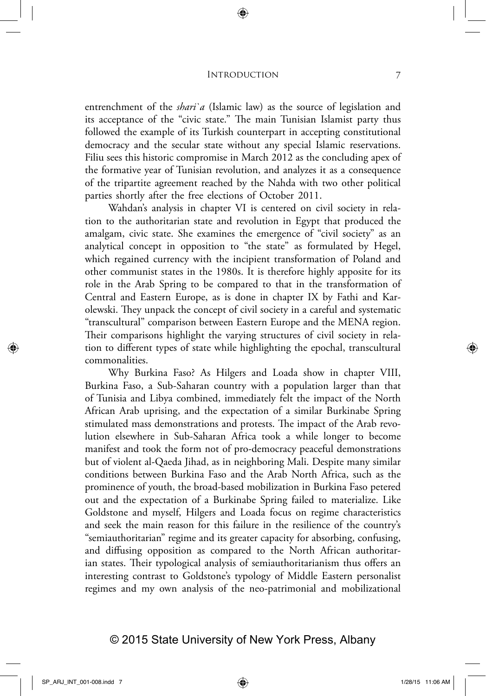#### INTRODUCTION 7

entrenchment of the *shari`a* (Islamic law) as the source of legislation and its acceptance of the "civic state." The main Tunisian Islamist party thus followed the example of its Turkish counterpart in accepting constitutional democracy and the secular state without any special Islamic reservations. Filiu sees this historic compromise in March 2012 as the concluding apex of the formative year of Tunisian revolution, and analyzes it as a consequence of the tripartite agreement reached by the Nahda with two other political parties shortly after the free elections of October 2011.

Wahdan's analysis in chapter VI is centered on civil society in relation to the authoritarian state and revolution in Egypt that produced the amalgam, civic state. She examines the emergence of "civil society" as an analytical concept in opposition to "the state" as formulated by Hegel, which regained currency with the incipient transformation of Poland and other communist states in the 1980s. It is therefore highly apposite for its role in the Arab Spring to be compared to that in the transformation of Central and Eastern Europe, as is done in chapter IX by Fathi and Karolewski. They unpack the concept of civil society in a careful and systematic "transcultural" comparison between Eastern Europe and the MENA region. Their comparisons highlight the varying structures of civil society in relation to different types of state while highlighting the epochal, transcultural commonalities.

Why Burkina Faso? As Hilgers and Loada show in chapter VIII, Burkina Faso, a Sub‑Saharan country with a population larger than that of Tunisia and Libya combined, immediately felt the impact of the North African Arab uprising, and the expectation of a similar Burkinabe Spring stimulated mass demonstrations and protests. The impact of the Arab revolution elsewhere in Sub‑Saharan Africa took a while longer to become manifest and took the form not of pro-democracy peaceful demonstrations but of violent al‑Qaeda Jihad, as in neighboring Mali. Despite many similar conditions between Burkina Faso and the Arab North Africa, such as the prominence of youth, the broad‑based mobilization in Burkina Faso petered out and the expectation of a Burkinabe Spring failed to materialize. Like Goldstone and myself, Hilgers and Loada focus on regime characteristics and seek the main reason for this failure in the resilience of the country's "semiauthoritarian" regime and its greater capacity for absorbing, confusing, and diffusing opposition as compared to the North African authoritarian states. Their typological analysis of semiauthoritarianism thus offers an interesting contrast to Goldstone's typology of Middle Eastern personalist regimes and my own analysis of the neo‑patrimonial and mobilizational

## © 2015 State University of New York Press, Albany